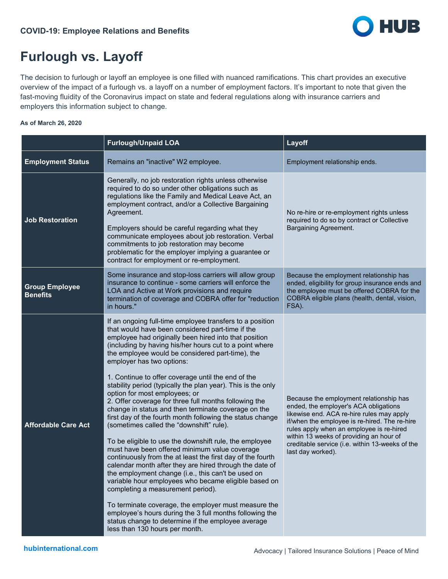

## **Furlough vs. Layoff**

The decision to furlough or layoff an employee is one filled with nuanced ramifications. This chart provides an executive overview of the impact of a furlough vs. a layoff on a number of employment factors. It's important to note that given the fast-moving fluidity of the Coronavirus impact on state and federal regulations along with insurance carriers and employers this information subject to change.

## **As of March 26, 2020**

|                                          | <b>Furlough/Unpaid LOA</b>                                                                                                                                                                                                                                                                                                                                                                                                                                                                                                                                                                                                                                                                                                                                                                                                                                                                                                                                                                                                                                                                                                                                                                                                                                                                          | Layoff                                                                                                                                                                                                                                                                                                                                        |
|------------------------------------------|-----------------------------------------------------------------------------------------------------------------------------------------------------------------------------------------------------------------------------------------------------------------------------------------------------------------------------------------------------------------------------------------------------------------------------------------------------------------------------------------------------------------------------------------------------------------------------------------------------------------------------------------------------------------------------------------------------------------------------------------------------------------------------------------------------------------------------------------------------------------------------------------------------------------------------------------------------------------------------------------------------------------------------------------------------------------------------------------------------------------------------------------------------------------------------------------------------------------------------------------------------------------------------------------------------|-----------------------------------------------------------------------------------------------------------------------------------------------------------------------------------------------------------------------------------------------------------------------------------------------------------------------------------------------|
| <b>Employment Status</b>                 | Remains an "inactive" W2 employee.                                                                                                                                                                                                                                                                                                                                                                                                                                                                                                                                                                                                                                                                                                                                                                                                                                                                                                                                                                                                                                                                                                                                                                                                                                                                  | Employment relationship ends.                                                                                                                                                                                                                                                                                                                 |
| <b>Job Restoration</b>                   | Generally, no job restoration rights unless otherwise<br>required to do so under other obligations such as<br>regulations like the Family and Medical Leave Act, an<br>employment contract, and/or a Collective Bargaining<br>Agreement.<br>Employers should be careful regarding what they<br>communicate employees about job restoration. Verbal<br>commitments to job restoration may become<br>problematic for the employer implying a guarantee or<br>contract for employment or re-employment.                                                                                                                                                                                                                                                                                                                                                                                                                                                                                                                                                                                                                                                                                                                                                                                                | No re-hire or re-employment rights unless<br>required to do so by contract or Collective<br>Bargaining Agreement.                                                                                                                                                                                                                             |
| <b>Group Employee</b><br><b>Benefits</b> | Some insurance and stop-loss carriers will allow group<br>insurance to continue - some carriers will enforce the<br>LOA and Active at Work provisions and require<br>termination of coverage and COBRA offer for "reduction<br>in hours."                                                                                                                                                                                                                                                                                                                                                                                                                                                                                                                                                                                                                                                                                                                                                                                                                                                                                                                                                                                                                                                           | Because the employment relationship has<br>ended, eligibility for group insurance ends and<br>the employee must be offered COBRA for the<br>COBRA eligible plans (health, dental, vision,<br>FSA).                                                                                                                                            |
| <b>Affordable Care Act</b>               | If an ongoing full-time employee transfers to a position<br>that would have been considered part-time if the<br>employee had originally been hired into that position<br>(including by having his/her hours cut to a point where<br>the employee would be considered part-time), the<br>employer has two options:<br>1. Continue to offer coverage until the end of the<br>stability period (typically the plan year). This is the only<br>option for most employees; or<br>2. Offer coverage for three full months following the<br>change in status and then terminate coverage on the<br>first day of the fourth month following the status change<br>(sometimes called the "downshift" rule).<br>To be eligible to use the downshift rule, the employee<br>must have been offered minimum value coverage<br>continuously from the at least the first day of the fourth<br>calendar month after they are hired through the date of<br>the employment change (i.e., this can't be used on<br>variable hour employees who became eligible based on<br>completing a measurement period).<br>To terminate coverage, the employer must measure the<br>employee's hours during the 3 full months following the<br>status change to determine if the employee average<br>less than 130 hours per month. | Because the employment relationship has<br>ended, the employer's ACA obligations<br>likewise end. ACA re-hire rules may apply<br>if/when the employee is re-hired. The re-hire<br>rules apply when an employee is re-hired<br>within 13 weeks of providing an hour of<br>creditable service (i.e. within 13-weeks of the<br>last day worked). |